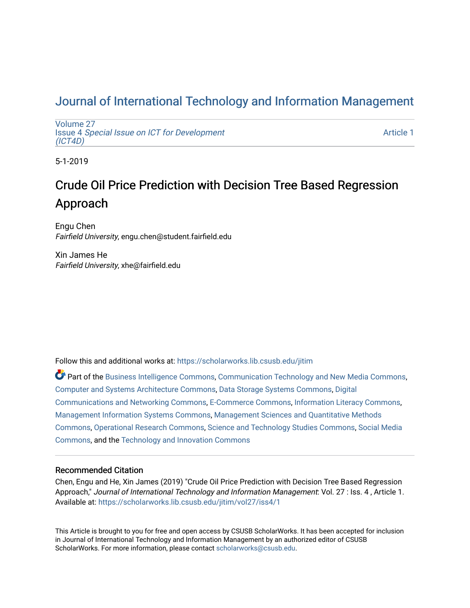# [Journal of International Technology and Information Management](https://scholarworks.lib.csusb.edu/jitim)

[Volume 27](https://scholarworks.lib.csusb.edu/jitim/vol27) Issue 4 [Special Issue on ICT for Development](https://scholarworks.lib.csusb.edu/jitim/vol27/iss4) [\(ICT4D\)](https://scholarworks.lib.csusb.edu/jitim/vol27/iss4) 

[Article 1](https://scholarworks.lib.csusb.edu/jitim/vol27/iss4/1) 

5-1-2019

# Crude Oil Price Prediction with Decision Tree Based Regression Approach

Engu Chen Fairfield University, engu.chen@student.fairfield.edu

Xin James He Fairfield University, xhe@fairfield.edu

Follow this and additional works at: [https://scholarworks.lib.csusb.edu/jitim](https://scholarworks.lib.csusb.edu/jitim?utm_source=scholarworks.lib.csusb.edu%2Fjitim%2Fvol27%2Fiss4%2F1&utm_medium=PDF&utm_campaign=PDFCoverPages) 

Part of the [Business Intelligence Commons,](http://network.bepress.com/hgg/discipline/1326?utm_source=scholarworks.lib.csusb.edu%2Fjitim%2Fvol27%2Fiss4%2F1&utm_medium=PDF&utm_campaign=PDFCoverPages) [Communication Technology and New Media Commons,](http://network.bepress.com/hgg/discipline/327?utm_source=scholarworks.lib.csusb.edu%2Fjitim%2Fvol27%2Fiss4%2F1&utm_medium=PDF&utm_campaign=PDFCoverPages) [Computer and Systems Architecture Commons](http://network.bepress.com/hgg/discipline/259?utm_source=scholarworks.lib.csusb.edu%2Fjitim%2Fvol27%2Fiss4%2F1&utm_medium=PDF&utm_campaign=PDFCoverPages), [Data Storage Systems Commons](http://network.bepress.com/hgg/discipline/261?utm_source=scholarworks.lib.csusb.edu%2Fjitim%2Fvol27%2Fiss4%2F1&utm_medium=PDF&utm_campaign=PDFCoverPages), [Digital](http://network.bepress.com/hgg/discipline/262?utm_source=scholarworks.lib.csusb.edu%2Fjitim%2Fvol27%2Fiss4%2F1&utm_medium=PDF&utm_campaign=PDFCoverPages) [Communications and Networking Commons](http://network.bepress.com/hgg/discipline/262?utm_source=scholarworks.lib.csusb.edu%2Fjitim%2Fvol27%2Fiss4%2F1&utm_medium=PDF&utm_campaign=PDFCoverPages), [E-Commerce Commons](http://network.bepress.com/hgg/discipline/624?utm_source=scholarworks.lib.csusb.edu%2Fjitim%2Fvol27%2Fiss4%2F1&utm_medium=PDF&utm_campaign=PDFCoverPages), [Information Literacy Commons,](http://network.bepress.com/hgg/discipline/1243?utm_source=scholarworks.lib.csusb.edu%2Fjitim%2Fvol27%2Fiss4%2F1&utm_medium=PDF&utm_campaign=PDFCoverPages) [Management Information Systems Commons,](http://network.bepress.com/hgg/discipline/636?utm_source=scholarworks.lib.csusb.edu%2Fjitim%2Fvol27%2Fiss4%2F1&utm_medium=PDF&utm_campaign=PDFCoverPages) [Management Sciences and Quantitative Methods](http://network.bepress.com/hgg/discipline/637?utm_source=scholarworks.lib.csusb.edu%2Fjitim%2Fvol27%2Fiss4%2F1&utm_medium=PDF&utm_campaign=PDFCoverPages) [Commons](http://network.bepress.com/hgg/discipline/637?utm_source=scholarworks.lib.csusb.edu%2Fjitim%2Fvol27%2Fiss4%2F1&utm_medium=PDF&utm_campaign=PDFCoverPages), [Operational Research Commons](http://network.bepress.com/hgg/discipline/308?utm_source=scholarworks.lib.csusb.edu%2Fjitim%2Fvol27%2Fiss4%2F1&utm_medium=PDF&utm_campaign=PDFCoverPages), [Science and Technology Studies Commons,](http://network.bepress.com/hgg/discipline/435?utm_source=scholarworks.lib.csusb.edu%2Fjitim%2Fvol27%2Fiss4%2F1&utm_medium=PDF&utm_campaign=PDFCoverPages) [Social Media](http://network.bepress.com/hgg/discipline/1249?utm_source=scholarworks.lib.csusb.edu%2Fjitim%2Fvol27%2Fiss4%2F1&utm_medium=PDF&utm_campaign=PDFCoverPages) [Commons](http://network.bepress.com/hgg/discipline/1249?utm_source=scholarworks.lib.csusb.edu%2Fjitim%2Fvol27%2Fiss4%2F1&utm_medium=PDF&utm_campaign=PDFCoverPages), and the [Technology and Innovation Commons](http://network.bepress.com/hgg/discipline/644?utm_source=scholarworks.lib.csusb.edu%2Fjitim%2Fvol27%2Fiss4%2F1&utm_medium=PDF&utm_campaign=PDFCoverPages) 

#### Recommended Citation

Chen, Engu and He, Xin James (2019) "Crude Oil Price Prediction with Decision Tree Based Regression Approach," Journal of International Technology and Information Management: Vol. 27 : Iss. 4, Article 1. Available at: [https://scholarworks.lib.csusb.edu/jitim/vol27/iss4/1](https://scholarworks.lib.csusb.edu/jitim/vol27/iss4/1?utm_source=scholarworks.lib.csusb.edu%2Fjitim%2Fvol27%2Fiss4%2F1&utm_medium=PDF&utm_campaign=PDFCoverPages) 

This Article is brought to you for free and open access by CSUSB ScholarWorks. It has been accepted for inclusion in Journal of International Technology and Information Management by an authorized editor of CSUSB ScholarWorks. For more information, please contact [scholarworks@csusb.edu.](mailto:scholarworks@csusb.edu)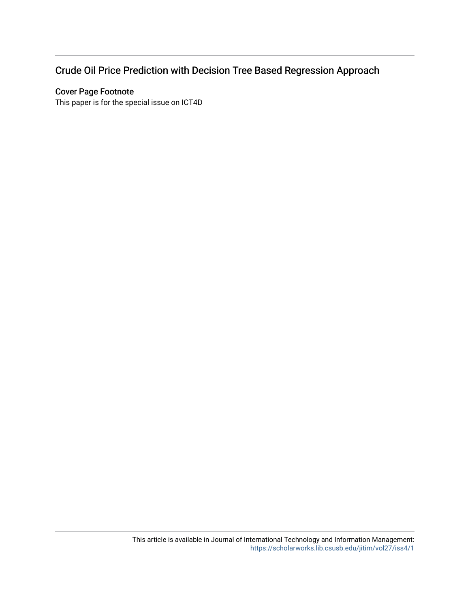# Crude Oil Price Prediction with Decision Tree Based Regression Approach

### Cover Page Footnote

This paper is for the special issue on ICT4D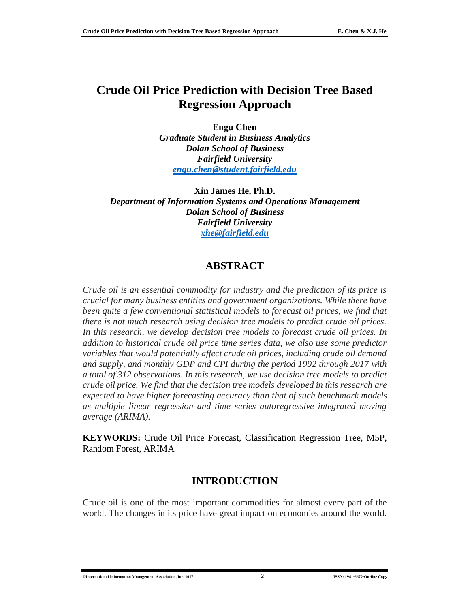## **Crude Oil Price Prediction with Decision Tree Based Regression Approach**

**Engu Chen** *Graduate Student in Business Analytics Dolan School of Business Fairfield University [engu.chen@student.fairfield.edu](mailto:engu.chen@student.fairfield.edu)*

**Xin James He, Ph.D.** *Department of Information Systems and Operations Management Dolan School of Business Fairfield University [xhe@fairfield.edu](mailto:xhe@fairfield.edu)*

### **ABSTRACT**

*Crude oil is an essential commodity for industry and the prediction of its price is crucial for many business entities and government organizations. While there have been quite a few conventional statistical models to forecast oil prices, we find that there is not much research using decision tree models to predict crude oil prices. In this research, we develop decision tree models to forecast crude oil prices. In addition to historical crude oil price time series data, we also use some predictor variables that would potentially affect crude oil prices, including crude oil demand and supply, and monthly GDP and CPI during the period 1992 through 2017 with a total of 312 observations. In this research, we use decision tree models to predict crude oil price. We find that the decision tree models developed in this research are expected to have higher forecasting accuracy than that of such benchmark models as multiple linear regression and time series autoregressive integrated moving average (ARIMA).*

**KEYWORDS:** Crude Oil Price Forecast, Classification Regression Tree, M5P, Random Forest, ARIMA

### **INTRODUCTION**

Crude oil is one of the most important commodities for almost every part of the world. The changes in its price have great impact on economies around the world.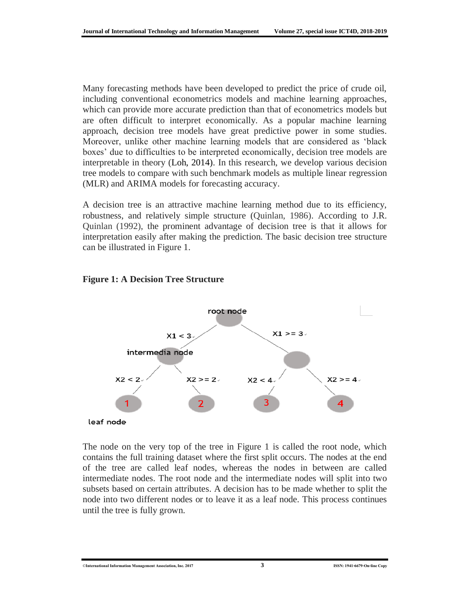Many forecasting methods have been developed to predict the price of crude oil, including conventional econometrics models and machine learning approaches, which can provide more accurate prediction than that of econometrics models but are often difficult to interpret economically. As a popular machine learning approach, decision tree models have great predictive power in some studies. Moreover, unlike other machine learning models that are considered as 'black boxes' due to difficulties to be interpreted economically, decision tree models are interpretable in theory (Loh, 2014). In this research, we develop various decision tree models to compare with such benchmark models as multiple linear regression (MLR) and ARIMA models for forecasting accuracy.

A decision tree is an attractive machine learning method due to its efficiency, robustness, and relatively simple structure (Quinlan, 1986). According to J.R. Quinlan (1992), the prominent advantage of decision tree is that it allows for interpretation easily after making the prediction. The basic decision tree structure can be illustrated in Figure 1.

#### **Figure 1: A Decision Tree Structure**



The node on the very top of the tree in Figure 1 is called the root node, which contains the full training dataset where the first split occurs. The nodes at the end of the tree are called leaf nodes, whereas the nodes in between are called intermediate nodes. The root node and the intermediate nodes will split into two subsets based on certain attributes. A decision has to be made whether to split the node into two different nodes or to leave it as a leaf node. This process continues until the tree is fully grown.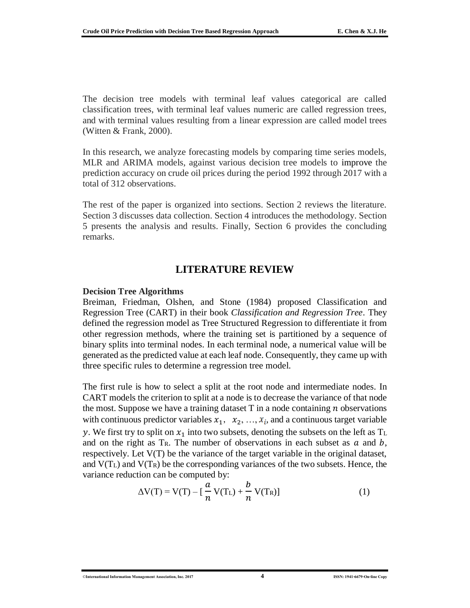The decision tree models with terminal leaf values categorical are called classification trees, with terminal leaf values numeric are called regression trees, and with terminal values resulting from a linear expression are called model trees (Witten & Frank, 2000).

In this research, we analyze forecasting models by comparing time series models, MLR and ARIMA models, against various decision tree models to improve the prediction accuracy on crude oil prices during the period 1992 through 2017 with a total of 312 observations.

The rest of the paper is organized into sections. Section 2 reviews the literature. Section 3 discusses data collection. Section 4 introduces the methodology. Section 5 presents the analysis and results. Finally, Section 6 provides the concluding remarks.

### **LITERATURE REVIEW**

#### **Decision Tree Algorithms**

Breiman, Friedman, Olshen, and Stone (1984) proposed Classification and Regression Tree (CART) in their book *Classification and Regression Tree*. They defined the regression model as Tree Structured Regression to differentiate it from other regression methods, where the training set is partitioned by a sequence of binary splits into terminal nodes. In each terminal node, a numerical value will be generated as the predicted value at each leaf node. Consequently, they came up with three specific rules to determine a regression tree model.

The first rule is how to select a split at the root node and intermediate nodes. In CART models the criterion to split at a node is to decrease the variance of that node the most. Suppose we have a training dataset  $T$  in a node containing  $n$  observations with continuous predictor variables  $x_1, x_2, ..., x_i$ , and a continuous target variable y. We first try to split on  $x_1$  into two subsets, denoting the subsets on the left as T<sub>L</sub> and on the right as  $T_R$ . The number of observations in each subset as  $a$  and  $b$ , respectively. Let V(T) be the variance of the target variable in the original dataset, and  $V(T_L)$  and  $V(T_R)$  be the corresponding variances of the two subsets. Hence, the variance reduction can be computed by:

$$
\Delta V(T) = V(T) - \left[\frac{a}{n}V(T_L) + \frac{b}{n}V(T_R)\right]
$$
 (1)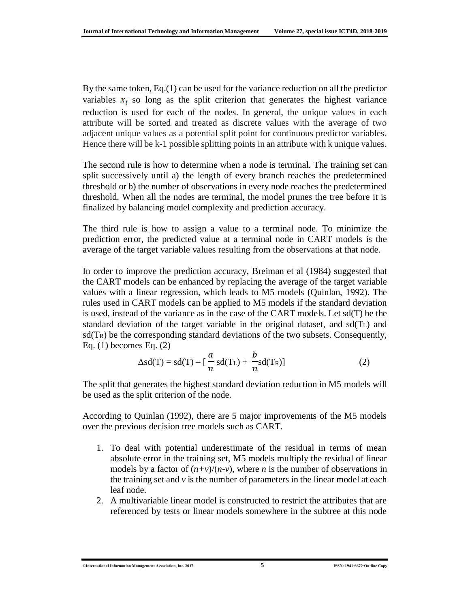By the same token, Eq.(1) can be used for the variance reduction on all the predictor variables  $x_i$  so long as the split criterion that generates the highest variance reduction is used for each of the nodes. In general, the unique values in each attribute will be sorted and treated as discrete values with the average of two adjacent unique values as a potential split point for continuous predictor variables. Hence there will be k-1 possible splitting points in an attribute with k unique values.

The second rule is how to determine when a node is terminal. The training set can split successively until a) the length of every branch reaches the predetermined threshold or b) the number of observations in every node reaches the predetermined threshold. When all the nodes are terminal, the model prunes the tree before it is finalized by balancing model complexity and prediction accuracy.

The third rule is how to assign a value to a terminal node. To minimize the prediction error, the predicted value at a terminal node in CART models is the average of the target variable values resulting from the observations at that node.

In order to improve the prediction accuracy, Breiman et al (1984) suggested that the CART models can be enhanced by replacing the average of the target variable values with a linear regression, which leads to M5 models (Quinlan, 1992). The rules used in CART models can be applied to M5 models if the standard deviation is used, instead of the variance as in the case of the CART models. Let sd(T) be the standard deviation of the target variable in the original dataset, and  $sd(T<sub>L</sub>)$  and  $sd(T_R)$  be the corresponding standard deviations of the two subsets. Consequently, Eq. (1) becomes Eq. (2)

$$
\Delta sd(T) = sd(T) - \left[\frac{a}{n} sd(T_L) + \frac{b}{n} sd(T_R)\right]
$$
 (2)

The split that generates the highest standard deviation reduction in M5 models will be used as the split criterion of the node.

According to Quinlan (1992), there are 5 major improvements of the M5 models over the previous decision tree models such as CART.

- 1. To deal with potential underestimate of the residual in terms of mean absolute error in the training set, M5 models multiply the residual of linear models by a factor of  $(n+v)/(n-v)$ , where *n* is the number of observations in the training set and *v* is the number of parameters in the linear model at each leaf node.
- 2. A multivariable linear model is constructed to restrict the attributes that are referenced by tests or linear models somewhere in the subtree at this node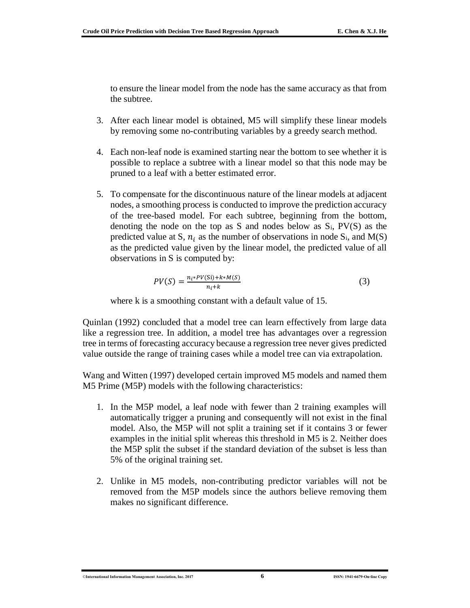to ensure the linear model from the node has the same accuracy as that from the subtree.

- 3. After each linear model is obtained, M5 will simplify these linear models by removing some no-contributing variables by a greedy search method.
- 4. Each non-leaf node is examined starting near the bottom to see whether it is possible to replace a subtree with a linear model so that this node may be pruned to a leaf with a better estimated error.
- 5. To compensate for the discontinuous nature of the linear models at adjacent nodes, a smoothing process is conducted to improve the prediction accuracy of the tree-based model. For each subtree, beginning from the bottom, denoting the node on the top as S and nodes below as  $S_i$ , PV(S) as the predicted value at S,  $n_i$  as the number of observations in node S<sub>i</sub>, and M(S) as the predicted value given by the linear model, the predicted value of all observations in S is computed by:

$$
PV(S) = \frac{n_i * PV(Si) + k * M(S)}{n_i + k} \tag{3}
$$

where k is a smoothing constant with a default value of 15.

Quinlan (1992) concluded that a model tree can learn effectively from large data like a regression tree. In addition, a model tree has advantages over a regression tree in terms of forecasting accuracy because a regression tree never gives predicted value outside the range of training cases while a model tree can via extrapolation.

Wang and Witten (1997) developed certain improved M5 models and named them M5 Prime (M5P) models with the following characteristics:

- 1. In the M5P model, a leaf node with fewer than 2 training examples will automatically trigger a pruning and consequently will not exist in the final model. Also, the M5P will not split a training set if it contains 3 or fewer examples in the initial split whereas this threshold in M5 is 2. Neither does the M5P split the subset if the standard deviation of the subset is less than 5% of the original training set.
- 2. Unlike in M5 models, non-contributing predictor variables will not be removed from the M5P models since the authors believe removing them makes no significant difference.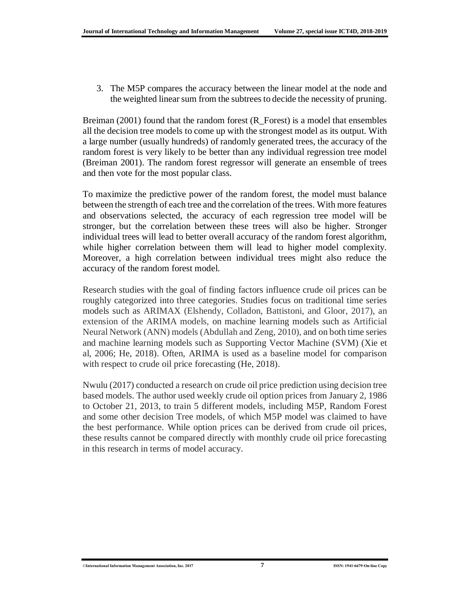3. The M5P compares the accuracy between the linear model at the node and the weighted linear sum from the subtrees to decide the necessity of pruning.

Breiman (2001) found that the random forest (R\_Forest) is a model that ensembles all the decision tree models to come up with the strongest model as its output. With a large number (usually hundreds) of randomly generated trees, the accuracy of the random forest is very likely to be better than any individual regression tree model (Breiman 2001). The random forest regressor will generate an ensemble of trees and then vote for the most popular class.

To maximize the predictive power of the random forest, the model must balance between the strength of each tree and the correlation of the trees. With more features and observations selected, the accuracy of each regression tree model will be stronger, but the correlation between these trees will also be higher. Stronger individual trees will lead to better overall accuracy of the random forest algorithm, while higher correlation between them will lead to higher model complexity. Moreover, a high correlation between individual trees might also reduce the accuracy of the random forest model.

Research studies with the goal of finding factors influence crude oil prices can be roughly categorized into three categories. Studies focus on traditional time series models such as ARIMAX (Elshendy, Colladon, Battistoni, and Gloor, 2017), an extension of the ARIMA models, on machine learning models such as Artificial Neural Network (ANN) models (Abdullah and Zeng, 2010), and on both time series and machine learning models such as Supporting Vector Machine (SVM) (Xie et al, 2006; He, 2018). Often, ARIMA is used as a baseline model for comparison with respect to crude oil price forecasting (He, 2018).

Nwulu (2017) conducted a research on crude oil price prediction using decision tree based models. The author used weekly crude oil option prices from January 2, 1986 to October 21, 2013, to train 5 different models, including M5P, Random Forest and some other decision Tree models, of which M5P model was claimed to have the best performance. While option prices can be derived from crude oil prices, these results cannot be compared directly with monthly crude oil price forecasting in this research in terms of model accuracy.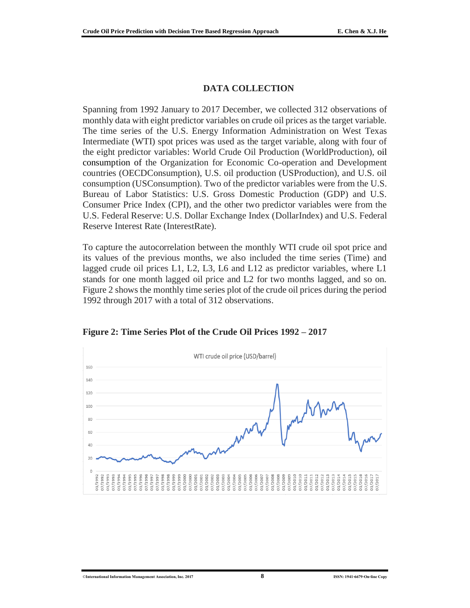#### **DATA COLLECTION**

Spanning from 1992 January to 2017 December, we collected 312 observations of monthly data with eight predictor variables on crude oil prices as the target variable. The time series of the U.S. Energy Information Administration on West Texas Intermediate (WTI) spot prices was used as the target variable, along with four of the eight predictor variables: World Crude Oil Production (WorldProduction), oil consumption of the Organization for Economic Co-operation and Development countries (OECDConsumption), U.S. oil production (USProduction), and U.S. oil consumption (USConsumption). Two of the predictor variables were from the U.S. Bureau of Labor Statistics: U.S. Gross Domestic Production (GDP) and U.S. Consumer Price Index (CPI), and the other two predictor variables were from the U.S. Federal Reserve: U.S. Dollar Exchange Index (DollarIndex) and U.S. Federal Reserve Interest Rate (InterestRate).

To capture the autocorrelation between the monthly WTI crude oil spot price and its values of the previous months, we also included the time series (Time) and lagged crude oil prices L1, L2, L3, L6 and L12 as predictor variables, where L1 stands for one month lagged oil price and L2 for two months lagged, and so on. Figure 2 shows the monthly time series plot of the crude oil prices during the period 1992 through 2017 with a total of 312 observations.



**Figure 2: Time Series Plot of the Crude Oil Prices 1992 – 2017**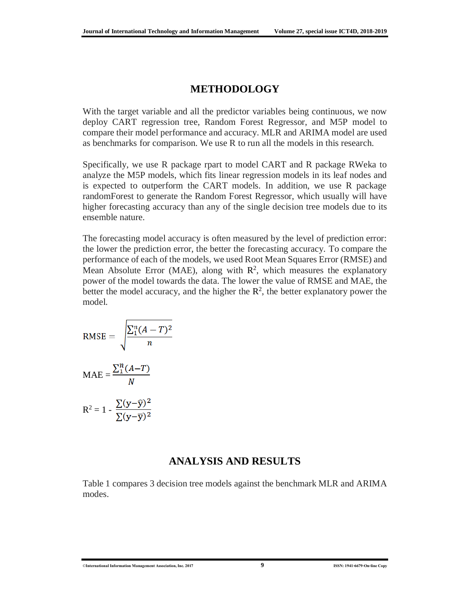### **METHODOLOGY**

With the target variable and all the predictor variables being continuous, we now deploy CART regression tree, Random Forest Regressor, and M5P model to compare their model performance and accuracy. MLR and ARIMA model are used as benchmarks for comparison. We use R to run all the models in this research.

Specifically, we use R package rpart to model CART and R package RWeka to analyze the M5P models, which fits linear regression models in its leaf nodes and is expected to outperform the CART models. In addition, we use R package randomForest to generate the Random Forest Regressor, which usually will have higher forecasting accuracy than any of the single decision tree models due to its ensemble nature.

The forecasting model accuracy is often measured by the level of prediction error: the lower the prediction error, the better the forecasting accuracy. To compare the performance of each of the models, we used Root Mean Squares Error (RMSE) and Mean Absolute Error (MAE), along with  $\mathbb{R}^2$ , which measures the explanatory power of the model towards the data. The lower the value of RMSE and MAE, the better the model accuracy, and the higher the  $\mathbb{R}^2$ , the better explanatory power the model.

RMSE = 
$$
\sqrt{\frac{\sum_{1}^{n}(A-T)^{2}}{n}}
$$

$$
MAE = \frac{\sum_{1}^{n}(A-T)}{N}
$$

$$
\sum (v - \widehat{v})^{2}
$$

$$
R^2 = 1 - \frac{\sum(y - \bar{y})}{\sum(y - \bar{y})^2}
$$

### **ANALYSIS AND RESULTS**

Table 1 compares 3 decision tree models against the benchmark MLR and ARIMA modes.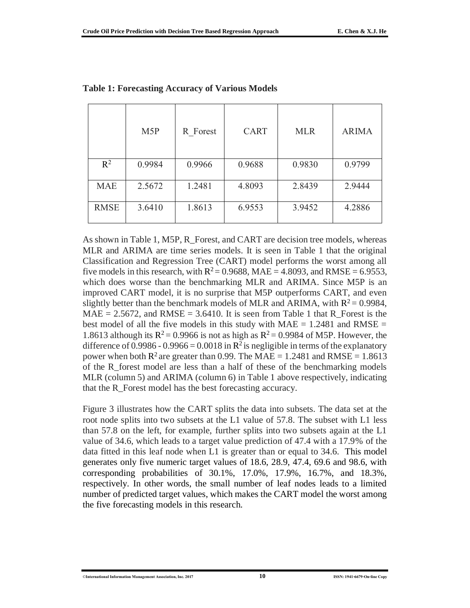|             | M <sub>5</sub> P | R Forest | <b>CART</b> | <b>MLR</b> | <b>ARIMA</b> |
|-------------|------------------|----------|-------------|------------|--------------|
| $R^2$       | 0.9984           | 0.9966   | 0.9688      | 0.9830     | 0.9799       |
| <b>MAE</b>  | 2.5672           | 1.2481   | 4.8093      | 2.8439     | 2.9444       |
| <b>RMSE</b> | 3.6410           | 1.8613   | 6.9553      | 3.9452     | 4.2886       |

**Table 1: Forecasting Accuracy of Various Models**

As shown in Table 1, M5P, R\_Forest, and CART are decision tree models, whereas MLR and ARIMA are time series models. It is seen in Table 1 that the original Classification and Regression Tree (CART) model performs the worst among all five models in this research, with  $R^2 = 0.9688$ , MAE = 4.8093, and RMSE = 6.9553, which does worse than the benchmarking MLR and ARIMA. Since M5P is an improved CART model, it is no surprise that M5P outperforms CART, and even slightly better than the benchmark models of MLR and ARIMA, with  $R^2 = 0.9984$ , MAE = 2.5672, and RMSE = 3.6410. It is seen from Table 1 that R Forest is the best model of all the five models in this study with  $MAE = 1.2481$  and  $RMSE =$ 1.8613 although its  $R^2 = 0.9966$  is not as high as  $R^2 = 0.9984$  of M5P. However, the difference of 0.9986 - 0.9966 = 0.0018 in  $\mathbb{R}^2$  is negligible in terms of the explanatory power when both  $\mathbb{R}^2$  are greater than 0.99. The MAE = 1.2481 and RMSE = 1.8613 of the R\_forest model are less than a half of these of the benchmarking models MLR (column 5) and ARIMA (column 6) in Table 1 above respectively, indicating that the R\_Forest model has the best forecasting accuracy.

Figure 3 illustrates how the CART splits the data into subsets. The data set at the root node splits into two subsets at the L1 value of 57.8. The subset with L1 less than 57.8 on the left, for example, further splits into two subsets again at the L1 value of 34.6, which leads to a target value prediction of 47.4 with a 17.9% of the data fitted in this leaf node when L1 is greater than or equal to 34.6. This model generates only five numeric target values of 18.6, 28.9, 47.4, 69.6 and 98.6, with corresponding probabilities of 30.1%, 17.0%, 17.9%, 16.7%, and 18.3%, respectively. In other words, the small number of leaf nodes leads to a limited number of predicted target values, which makes the CART model the worst among the five forecasting models in this research.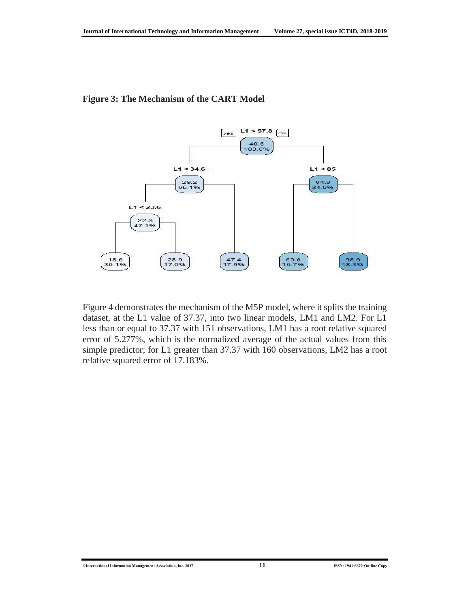

#### **Figure 3: The Mechanism of the CART Model**

Figure 4 demonstrates the mechanism of the M5P model, where it splits the training dataset, at the L1 value of 37.37, into two linear models, LM1 and LM2. For L1 less than or equal to 37.37 with 151 observations, LM1 has a root relative squared error of 5.277%, which is the normalized average of the actual values from this simple predictor; for L1 greater than 37.37 with 160 observations, LM2 has a root relative squared error of 17.183%.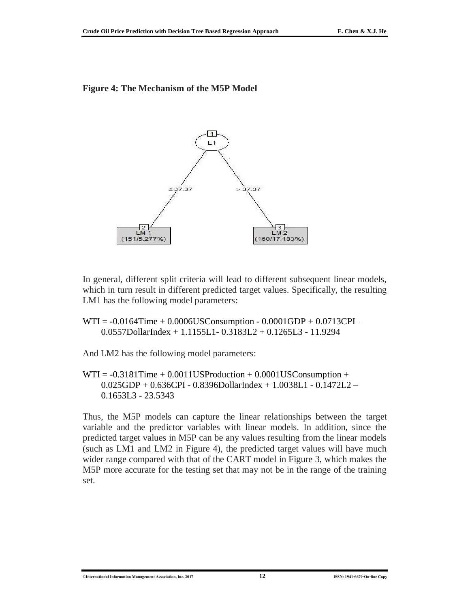#### **Figure 4: The Mechanism of the M5P Model**



In general, different split criteria will lead to different subsequent linear models, which in turn result in different predicted target values. Specifically, the resulting LM1 has the following model parameters:

WTI = -0.0164Time + 0.0006USConsumption - 0.0001GDP + 0.0713CPI – 0.0557DollarIndex + 1.1155L1- 0.3183L2 + 0.1265L3 - 11.9294

And LM2 has the following model parameters:

 $WTI = -0.3181Time + 0.0011USProduction + 0.0001USConsumption +$ 0.025GDP + 0.636CPI - 0.8396DollarIndex + 1.0038L1 - 0.1472L2 – 0.1653L3 - 23.5343

Thus, the M5P models can capture the linear relationships between the target variable and the predictor variables with linear models. In addition, since the predicted target values in M5P can be any values resulting from the linear models (such as LM1 and LM2 in Figure 4), the predicted target values will have much wider range compared with that of the CART model in Figure 3, which makes the M5P more accurate for the testing set that may not be in the range of the training set.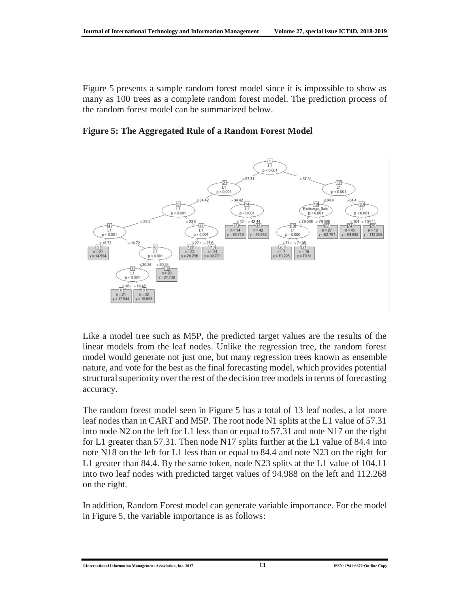Figure 5 presents a sample random forest model since it is impossible to show as many as 100 trees as a complete random forest model. The prediction process of the random forest model can be summarized below.

**Figure 5: The Aggregated Rule of a Random Forest Model**



Like a model tree such as M5P, the predicted target values are the results of the linear models from the leaf nodes. Unlike the regression tree, the random forest model would generate not just one, but many regression trees known as ensemble nature, and vote for the best as the final forecasting model, which provides potential structural superiority over the rest of the decision tree models in terms of forecasting accuracy.

The random forest model seen in Figure 5 has a total of 13 leaf nodes, a lot more leaf nodes than in CART and M5P. The root node N1 splits at the L1 value of 57.31 into node N2 on the left for L1 less than or equal to 57.31 and note N17 on the right for L1 greater than 57.31. Then node N17 splits further at the L1 value of 84.4 into note N18 on the left for L1 less than or equal to 84.4 and note N23 on the right for L1 greater than 84.4. By the same token, node N23 splits at the L1 value of 104.11 into two leaf nodes with predicted target values of 94.988 on the left and 112.268 on the right.

In addition, Random Forest model can generate variable importance. For the model in Figure 5, the variable importance is as follows: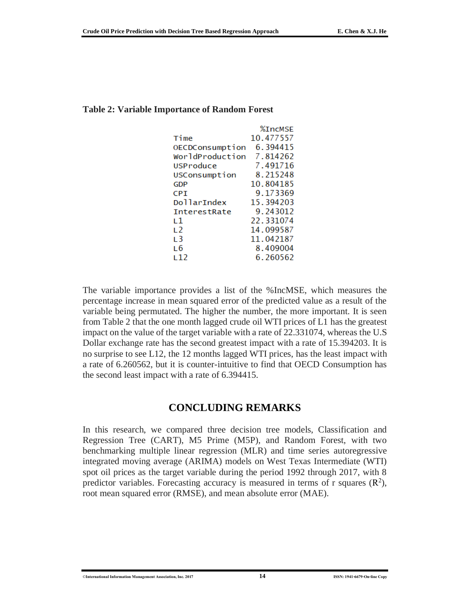|                     | <b>%TncMSF</b> |
|---------------------|----------------|
| Time                | 10.477557      |
| OECDConsumption     | 6.394415       |
| WorldProduction     | 7.814262       |
| USProduce           | 7.491716       |
| USConsumption       | 8.215248       |
| <b>GDP</b>          | 10.804185      |
| CPI                 | 9.173369       |
| DollarIndex         | 15.394203      |
| <b>InterestRate</b> | 9.243012       |
| L 1                 | 22.331074      |
| 12                  | 14.099587      |
| т З                 | 11.042187      |
| т 6                 | 8.409004       |
| ı 12                | 6.260562       |

#### **Table 2: Variable Importance of Random Forest**

The variable importance provides a list of the %IncMSE, which measures the percentage increase in mean squared error of the predicted value as a result of the variable being permutated. The higher the number, the more important. It is seen from Table 2 that the one month lagged crude oil WTI prices of L1 has the greatest impact on the value of the target variable with a rate of 22.331074, whereas the U.S Dollar exchange rate has the second greatest impact with a rate of 15.394203. It is no surprise to see L12, the 12 months lagged WTI prices, has the least impact with a rate of 6.260562, but it is counter-intuitive to find that OECD Consumption has the second least impact with a rate of 6.394415.

### **CONCLUDING REMARKS**

In this research, we compared three decision tree models, Classification and Regression Tree (CART), M5 Prime (M5P), and Random Forest, with two benchmarking multiple linear regression (MLR) and time series autoregressive integrated moving average (ARIMA) models on West Texas Intermediate (WTI) spot oil prices as the target variable during the period 1992 through 2017, with 8 predictor variables. Forecasting accuracy is measured in terms of r squares  $(R^2)$ , root mean squared error (RMSE), and mean absolute error (MAE).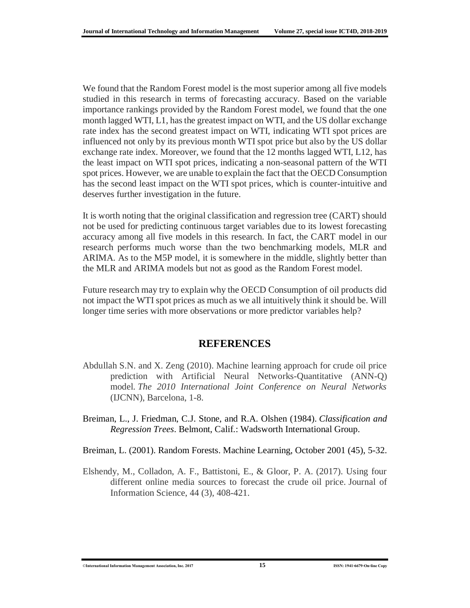We found that the Random Forest model is the most superior among all five models studied in this research in terms of forecasting accuracy. Based on the variable importance rankings provided by the Random Forest model, we found that the one month lagged WTI, L1, has the greatest impact on WTI, and the US dollar exchange rate index has the second greatest impact on WTI, indicating WTI spot prices are influenced not only by its previous month WTI spot price but also by the US dollar exchange rate index. Moreover, we found that the 12 months lagged WTI, L12, has the least impact on WTI spot prices, indicating a non-seasonal pattern of the WTI spot prices. However, we are unable to explain the fact that the OECD Consumption has the second least impact on the WTI spot prices, which is counter-intuitive and deserves further investigation in the future.

It is worth noting that the original classification and regression tree (CART) should not be used for predicting continuous target variables due to its lowest forecasting accuracy among all five models in this research. In fact, the CART model in our research performs much worse than the two benchmarking models, MLR and ARIMA. As to the M5P model, it is somewhere in the middle, slightly better than the MLR and ARIMA models but not as good as the Random Forest model.

Future research may try to explain why the OECD Consumption of oil products did not impact the WTI spot prices as much as we all intuitively think it should be. Will longer time series with more observations or more predictor variables help?

### **REFERENCES**

- Abdullah S.N. and X. Zeng (2010). Machine learning approach for crude oil price prediction with Artificial Neural Networks-Quantitative (ANN-Q) model. *The 2010 International Joint Conference on Neural Networks* (IJCNN), Barcelona, 1-8.
- Breiman, L., J. Friedman, C.J. Stone, and R.A. Olshen (1984). *Classification and Regression Trees*. Belmont, Calif.: Wadsworth International Group.
- Breiman, L. (2001). Random Forests. Machine Learning, October 2001 (45), 5-32.
- Elshendy, M., Colladon, A. F., Battistoni, E., & Gloor, P. A. (2017). Using four different online media sources to forecast the crude oil price. Journal of Information Science, 44 (3), 408-421.